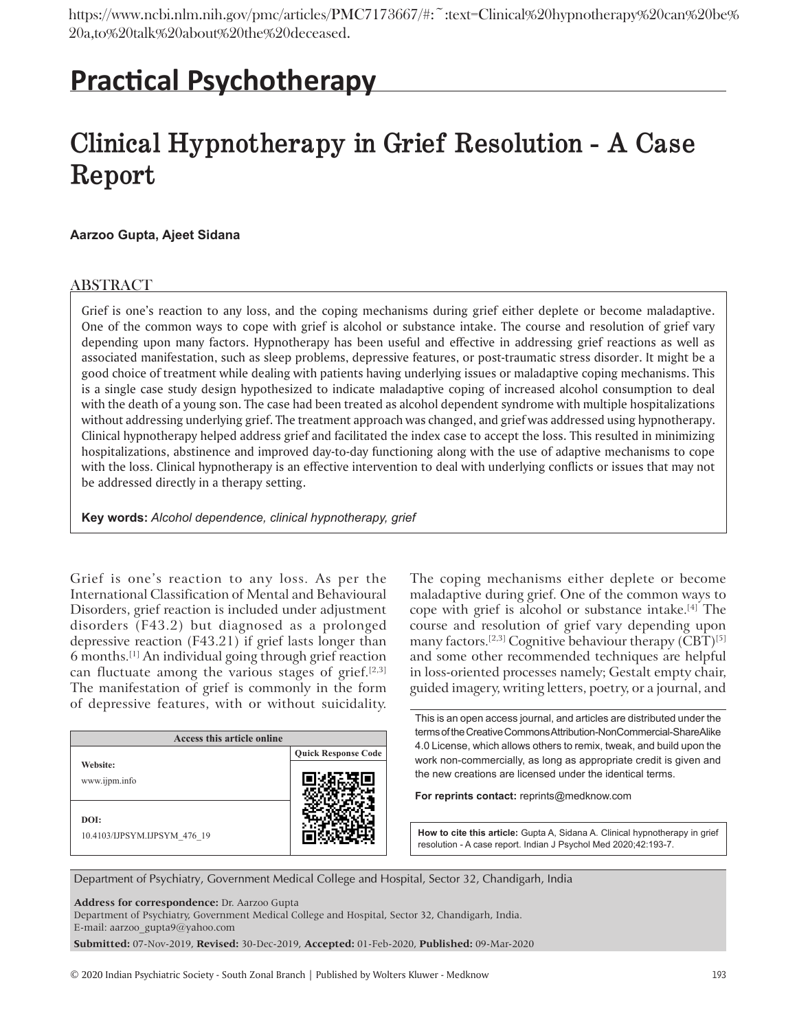# **Practical Psychotherapy**

# **Clinical Hypnotherapy in Grief Resolution ‑ A Case Report**

## **Aarzoo Gupta, Ajeet Sidana**

## ABSTRACT

Grief is one's reaction to any loss, and the coping mechanisms during grief either deplete or become maladaptive. One of the common ways to cope with grief is alcohol or substance intake. The course and resolution of grief vary depending upon many factors. Hypnotherapy has been useful and effective in addressing grief reactions as well as associated manifestation, such as sleep problems, depressive features, or post-traumatic stress disorder. It might be a good choice of treatment while dealing with patients having underlying issues or maladaptive coping mechanisms. This is a single case study design hypothesized to indicate maladaptive coping of increased alcohol consumption to deal with the death of a young son. The case had been treated as alcohol dependent syndrome with multiple hospitalizations without addressing underlying grief. The treatment approach was changed, and grief was addressed using hypnotherapy. Clinical hypnotherapy helped address grief and facilitated the index case to accept the loss. This resulted in minimizing hospitalizations, abstinence and improved day-to-day functioning along with the use of adaptive mechanisms to cope with the loss. Clinical hypnotherapy is an effective intervention to deal with underlying conflicts or issues that may not be addressed directly in a therapy setting.

**Key words:** *Alcohol dependence, clinical hypnotherapy, grief*

Grief is one's reaction to any loss. As per the International Classification of Mental and Behavioural Disorders, grief reaction is included under adjustment disorders (F43.2) but diagnosed as a prolonged depressive reaction (F43.21) if grief lasts longer than 6 months.[1] An individual going through grief reaction can fluctuate among the various stages of grief.[2,3] The manifestation of grief is commonly in the form of depressive features, with or without suicidality.

| Access this article online           |                            |  |
|--------------------------------------|----------------------------|--|
|                                      | <b>Quick Response Code</b> |  |
| Website:<br>www.ijpm.info            |                            |  |
| DOI:<br>10.4103/IJPSYM.IJPSYM 476 19 |                            |  |

The coping mechanisms either deplete or become maladaptive during grief. One of the common ways to cope with grief is alcohol or substance intake.[4] The course and resolution of grief vary depending upon many factors.<sup>[2,3]</sup> Cognitive behaviour therapy (CBT)<sup>[5]</sup> and some other recommended techniques are helpful in loss-oriented processes namely; Gestalt empty chair, guided imagery, writing letters, poetry, or a journal, and

This is an open access journal, and articles are distributed under the terms of the Creative Commons Attribution-NonCommercial-ShareAlike 4.0 License, which allows others to remix, tweak, and build upon the work non-commercially, as long as appropriate credit is given and the new creations are licensed under the identical terms.

**For reprints contact:** reprints@medknow.com

**How to cite this article:** Gupta A, Sidana A. Clinical hypnotherapy in grief resolution - A case report. Indian J Psychol Med 2020;42:193-7.

Department of Psychiatry, Government Medical College and Hospital, Sector 32, Chandigarh, India

**Address for correspondence:** Dr. Aarzoo Gupta

Department of Psychiatry, Government Medical College and Hospital, Sector 32, Chandigarh, India.

E-mail: aarzoo\_gupta9@yahoo.com

**Submitted:** 07-Nov-2019, **Revised:** 30-Dec-2019, **Accepted:** 01-Feb-2020, **Published:** 09-Mar-2020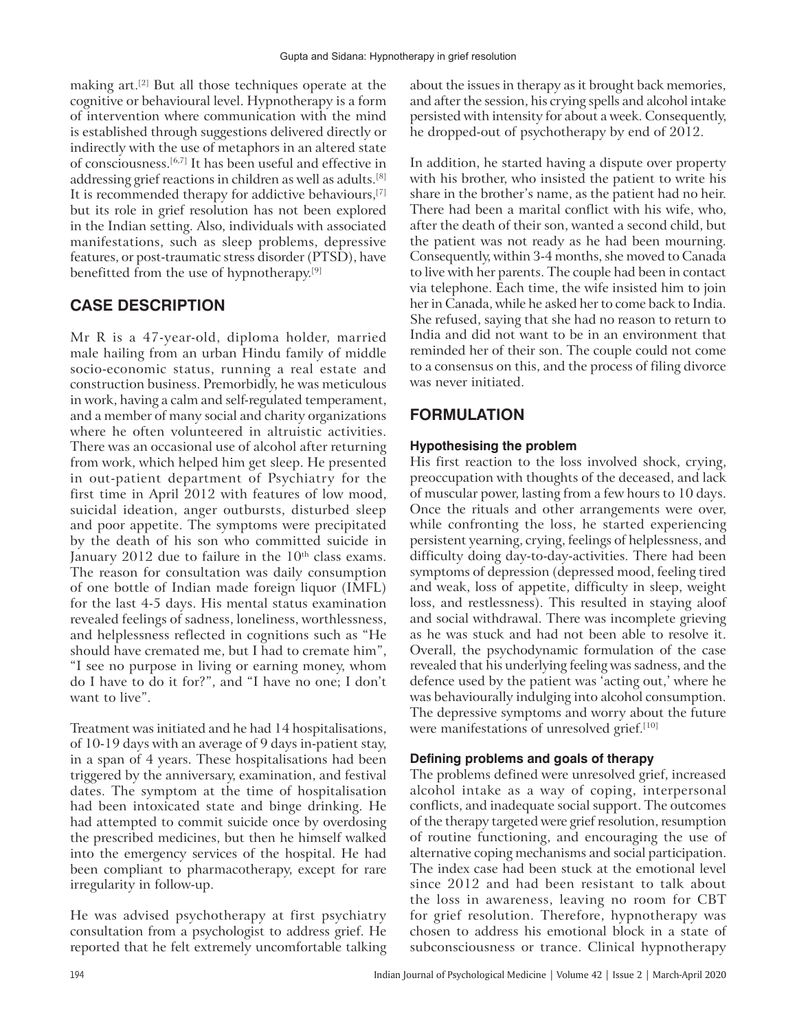making art.[2] But all those techniques operate at the cognitive or behavioural level. Hypnotherapy is a form of intervention where communication with the mind is established through suggestions delivered directly or indirectly with the use of metaphors in an altered state of consciousness.[6,7] It has been useful and effective in addressing grief reactions in children as well as adults.[8] It is recommended therapy for addictive behaviours,[7] but its role in grief resolution has not been explored in the Indian setting. Also, individuals with associated manifestations, such as sleep problems, depressive features, or post-traumatic stress disorder (PTSD), have benefitted from the use of hypnotherapy.[9]

# **CASE DESCRIPTION**

Mr R is a 47‑year‑old, diploma holder, married male hailing from an urban Hindu family of middle socio‑economic status, running a real estate and construction business. Premorbidly, he was meticulous in work, having a calm and self-regulated temperament, and a member of many social and charity organizations where he often volunteered in altruistic activities. There was an occasional use of alcohol after returning from work, which helped him get sleep. He presented in out‑patient department of Psychiatry for the first time in April 2012 with features of low mood, suicidal ideation, anger outbursts, disturbed sleep and poor appetite. The symptoms were precipitated by the death of his son who committed suicide in January  $2012$  due to failure in the  $10<sup>th</sup>$  class exams. The reason for consultation was daily consumption of one bottle of Indian made foreign liquor (IMFL) for the last 4‑5 days. His mental status examination revealed feelings of sadness, loneliness, worthlessness, and helplessness reflected in cognitions such as "He should have cremated me, but I had to cremate him", "I see no purpose in living or earning money, whom do I have to do it for?", and "I have no one; I don't want to live".

Treatment was initiated and he had 14 hospitalisations, of 10‑19 days with an average of 9 days in‑patient stay, in a span of 4 years. These hospitalisations had been triggered by the anniversary, examination, and festival dates. The symptom at the time of hospitalisation had been intoxicated state and binge drinking. He had attempted to commit suicide once by overdosing the prescribed medicines, but then he himself walked into the emergency services of the hospital. He had been compliant to pharmacotherapy, except for rare irregularity in follow‑up.

He was advised psychotherapy at first psychiatry consultation from a psychologist to address grief. He reported that he felt extremely uncomfortable talking about the issues in therapy as it brought back memories, and after the session, his crying spells and alcohol intake persisted with intensity for about a week. Consequently, he dropped-out of psychotherapy by end of 2012.

In addition, he started having a dispute over property with his brother, who insisted the patient to write his share in the brother's name, as the patient had no heir. There had been a marital conflict with his wife, who, after the death of their son, wanted a second child, but the patient was not ready as he had been mourning. Consequently, within 3‑4 months, she moved to Canada to live with her parents. The couple had been in contact via telephone. Each time, the wife insisted him to join her in Canada, while he asked her to come back to India. She refused, saying that she had no reason to return to India and did not want to be in an environment that reminded her of their son. The couple could not come to a consensus on this, and the process of filing divorce was never initiated.

# **FORMULATION**

## **Hypothesising the problem**

His first reaction to the loss involved shock, crying, preoccupation with thoughts of the deceased, and lack of muscular power, lasting from a few hours to 10 days. Once the rituals and other arrangements were over, while confronting the loss, he started experiencing persistent yearning, crying, feelings of helplessness, and difficulty doing day-to-day-activities. There had been symptoms of depression (depressed mood, feeling tired and weak, loss of appetite, difficulty in sleep, weight loss, and restlessness). This resulted in staying aloof and social withdrawal. There was incomplete grieving as he was stuck and had not been able to resolve it. Overall, the psychodynamic formulation of the case revealed that his underlying feeling was sadness, and the defence used by the patient was 'acting out,' where he was behaviourally indulging into alcohol consumption. The depressive symptoms and worry about the future were manifestations of unresolved grief.<sup>[10]</sup>

## **Defining problems and goals of therapy**

The problems defined were unresolved grief, increased alcohol intake as a way of coping, interpersonal conflicts, and inadequate social support. The outcomes of the therapy targeted were grief resolution, resumption of routine functioning, and encouraging the use of alternative coping mechanisms and social participation. The index case had been stuck at the emotional level since 2012 and had been resistant to talk about the loss in awareness, leaving no room for CBT for grief resolution. Therefore, hypnotherapy was chosen to address his emotional block in a state of subconsciousness or trance. Clinical hypnotherapy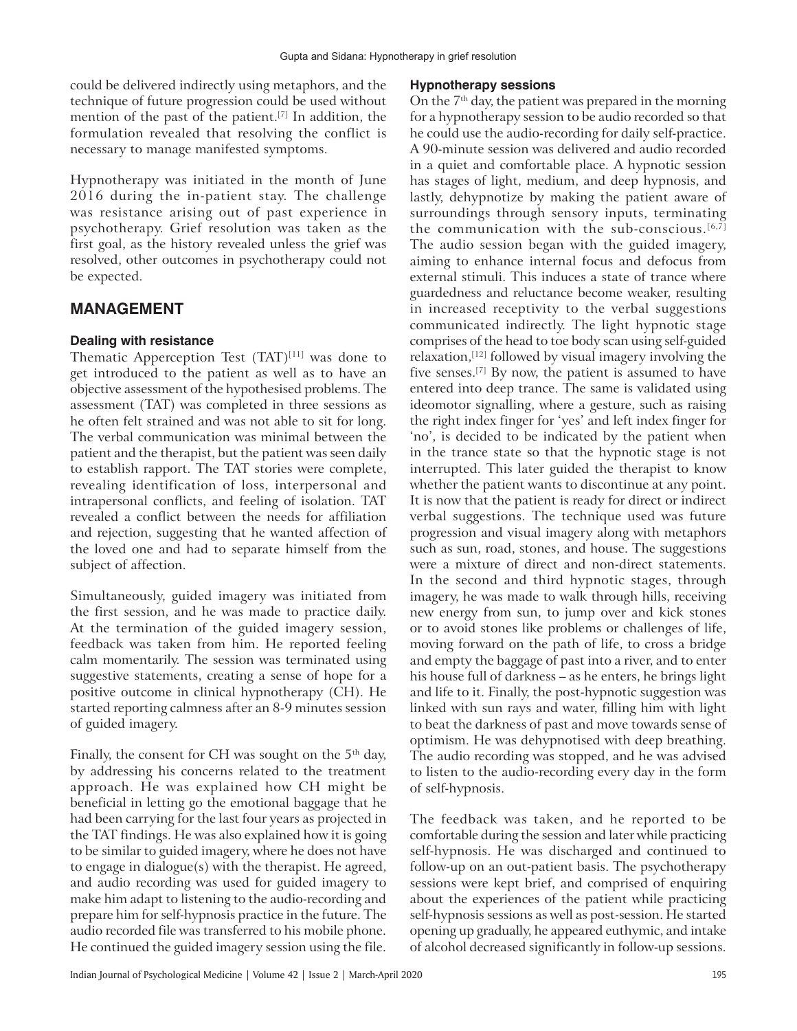could be delivered indirectly using metaphors, and the technique of future progression could be used without mention of the past of the patient.[7] In addition, the formulation revealed that resolving the conflict is necessary to manage manifested symptoms.

Hypnotherapy was initiated in the month of June 2016 during the in‑patient stay. The challenge was resistance arising out of past experience in psychotherapy. Grief resolution was taken as the first goal, as the history revealed unless the grief was resolved, other outcomes in psychotherapy could not be expected.

### **MANAGEMENT**

#### **Dealing with resistance**

Thematic Apperception Test  $(TAT)^{[11]}$  was done to get introduced to the patient as well as to have an objective assessment of the hypothesised problems. The assessment (TAT) was completed in three sessions as he often felt strained and was not able to sit for long. The verbal communication was minimal between the patient and the therapist, but the patient was seen daily to establish rapport. The TAT stories were complete, revealing identification of loss, interpersonal and intrapersonal conflicts, and feeling of isolation. TAT revealed a conflict between the needs for affiliation and rejection, suggesting that he wanted affection of the loved one and had to separate himself from the subject of affection.

Simultaneously, guided imagery was initiated from the first session, and he was made to practice daily. At the termination of the guided imagery session, feedback was taken from him. He reported feeling calm momentarily. The session was terminated using suggestive statements, creating a sense of hope for a positive outcome in clinical hypnotherapy (CH). He started reporting calmness after an 8‑9 minutes session of guided imagery.

Finally, the consent for CH was sought on the  $5<sup>th</sup>$  day, by addressing his concerns related to the treatment approach. He was explained how CH might be beneficial in letting go the emotional baggage that he had been carrying for the last four years as projected in the TAT findings. He was also explained how it is going to be similar to guided imagery, where he does not have to engage in dialogue(s) with the therapist. He agreed, and audio recording was used for guided imagery to make him adapt to listening to the audio‑recording and prepare him for self‑hypnosis practice in the future. The audio recorded file was transferred to his mobile phone. He continued the guided imagery session using the file.

#### **Hypnotherapy sessions**

On the  $7<sup>th</sup>$  day, the patient was prepared in the morning for a hypnotherapy session to be audio recorded so that he could use the audio-recording for daily self-practice. A 90‑minute session was delivered and audio recorded in a quiet and comfortable place. A hypnotic session has stages of light, medium, and deep hypnosis, and lastly, dehypnotize by making the patient aware of surroundings through sensory inputs, terminating the communication with the sub-conscious. $[6,7]$ The audio session began with the guided imagery, aiming to enhance internal focus and defocus from external stimuli. This induces a state of trance where guardedness and reluctance become weaker, resulting in increased receptivity to the verbal suggestions communicated indirectly. The light hypnotic stage comprises of the head to toe body scan using self‑guided relaxation, $[12]$  followed by visual imagery involving the five senses.[7] By now, the patient is assumed to have entered into deep trance. The same is validated using ideomotor signalling, where a gesture, such as raising the right index finger for 'yes' and left index finger for 'no', is decided to be indicated by the patient when in the trance state so that the hypnotic stage is not interrupted. This later guided the therapist to know whether the patient wants to discontinue at any point. It is now that the patient is ready for direct or indirect verbal suggestions. The technique used was future progression and visual imagery along with metaphors such as sun, road, stones, and house. The suggestions were a mixture of direct and non-direct statements. In the second and third hypnotic stages, through imagery, he was made to walk through hills, receiving new energy from sun, to jump over and kick stones or to avoid stones like problems or challenges of life, moving forward on the path of life, to cross a bridge and empty the baggage of past into a river, and to enter his house full of darkness – as he enters, he brings light and life to it. Finally, the post‑hypnotic suggestion was linked with sun rays and water, filling him with light to beat the darkness of past and move towards sense of optimism. He was dehypnotised with deep breathing. The audio recording was stopped, and he was advised to listen to the audio‑recording every day in the form of self‑hypnosis.

The feedback was taken, and he reported to be comfortable during the session and later while practicing self-hypnosis. He was discharged and continued to follow-up on an out-patient basis. The psychotherapy sessions were kept brief, and comprised of enquiring about the experiences of the patient while practicing self-hypnosis sessions as well as post-session. He started opening up gradually, he appeared euthymic, and intake of alcohol decreased significantly in follow‑up sessions.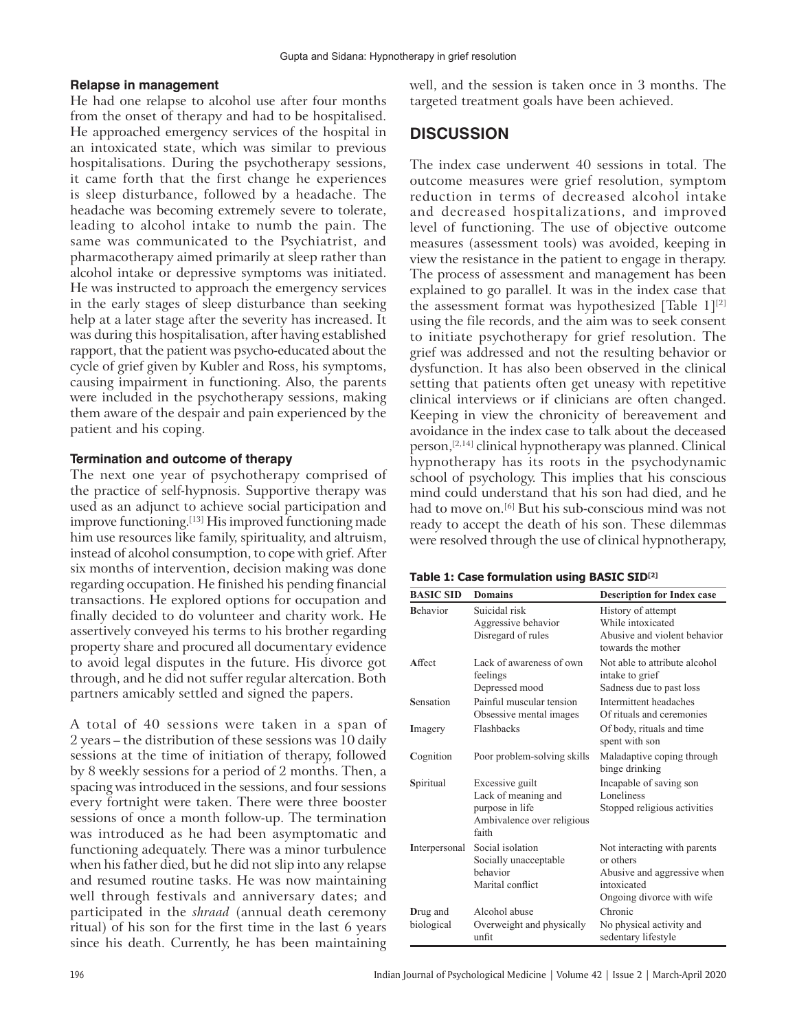#### **Relapse in management**

He had one relapse to alcohol use after four months from the onset of therapy and had to be hospitalised. He approached emergency services of the hospital in an intoxicated state, which was similar to previous hospitalisations. During the psychotherapy sessions, it came forth that the first change he experiences is sleep disturbance, followed by a headache. The headache was becoming extremely severe to tolerate, leading to alcohol intake to numb the pain. The same was communicated to the Psychiatrist, and pharmacotherapy aimed primarily at sleep rather than alcohol intake or depressive symptoms was initiated. He was instructed to approach the emergency services in the early stages of sleep disturbance than seeking help at a later stage after the severity has increased. It was during this hospitalisation, after having established rapport, that the patient was psycho‑educated about the cycle of grief given by Kubler and Ross, his symptoms, causing impairment in functioning. Also, the parents were included in the psychotherapy sessions, making them aware of the despair and pain experienced by the patient and his coping.

#### **Termination and outcome of therapy**

The next one year of psychotherapy comprised of the practice of self‑hypnosis. Supportive therapy was used as an adjunct to achieve social participation and improve functioning.<sup>[13]</sup> His improved functioning made him use resources like family, spirituality, and altruism, instead of alcohol consumption, to cope with grief. After six months of intervention, decision making was done regarding occupation. He finished his pending financial transactions. He explored options for occupation and finally decided to do volunteer and charity work. He assertively conveyed his terms to his brother regarding property share and procured all documentary evidence to avoid legal disputes in the future. His divorce got through, and he did not suffer regular altercation. Both partners amicably settled and signed the papers.

A total of 40 sessions were taken in a span of 2 years – the distribution of these sessions was 10 daily sessions at the time of initiation of therapy, followed by 8 weekly sessions for a period of 2 months. Then, a spacing was introduced in the sessions, and four sessions every fortnight were taken. There were three booster sessions of once a month follow‑up. The termination was introduced as he had been asymptomatic and functioning adequately. There was a minor turbulence when his father died, but he did not slip into any relapse and resumed routine tasks. He was now maintaining well through festivals and anniversary dates; and participated in the *shraad* (annual death ceremony ritual) of his son for the first time in the last 6 years since his death. Currently, he has been maintaining

well, and the session is taken once in 3 months. The targeted treatment goals have been achieved.

# **DISCUSSION**

The index case underwent 40 sessions in total. The outcome measures were grief resolution, symptom reduction in terms of decreased alcohol intake and decreased hospitalizations, and improved level of functioning. The use of objective outcome measures (assessment tools) was avoided, keeping in view the resistance in the patient to engage in therapy. The process of assessment and management has been explained to go parallel. It was in the index case that the assessment format was hypothesized [Table  $1$ ]<sup>[2]</sup> using the file records, and the aim was to seek consent to initiate psychotherapy for grief resolution. The grief was addressed and not the resulting behavior or dysfunction. It has also been observed in the clinical setting that patients often get uneasy with repetitive clinical interviews or if clinicians are often changed. Keeping in view the chronicity of bereavement and avoidance in the index case to talk about the deceased person,[2,14] clinical hypnotherapy was planned. Clinical hypnotherapy has its roots in the psychodynamic school of psychology. This implies that his conscious mind could understand that his son had died, and he had to move on.<sup>[6]</sup> But his sub-conscious mind was not ready to accept the death of his son. These dilemmas were resolved through the use of clinical hypnotherapy,

#### **Table 1: Case formulation using BASIC SID[2]**

| <b>BASIC SID</b>       | <b>Domains</b>                                                                                   | <b>Description for Index case</b>                                                                                    |
|------------------------|--------------------------------------------------------------------------------------------------|----------------------------------------------------------------------------------------------------------------------|
| <b>Behavior</b>        | Suicidal risk<br>Aggressive behavior<br>Disregard of rules                                       | History of attempt<br>While intoxicated<br>Abusive and violent behavior<br>towards the mother                        |
| Affect                 | Lack of awareness of own<br>feelings<br>Depressed mood                                           | Not able to attribute alcohol<br>intake to grief<br>Sadness due to past loss                                         |
| Sensation              | Painful muscular tension<br>Obsessive mental images                                              | Intermittent headaches<br>Of rituals and ceremonies                                                                  |
| Imagery                | Flashbacks                                                                                       | Of body, rituals and time<br>spent with son                                                                          |
| Cognition              | Poor problem-solving skills                                                                      | Maladaptive coping through<br>binge drinking                                                                         |
| Spiritual              | Excessive guilt<br>Lack of meaning and<br>purpose in life<br>Ambivalence over religious<br>faith | Incapable of saving son<br>Loneliness<br>Stopped religious activities                                                |
| Interpersonal          | Social isolation<br>Socially unacceptable<br>hehavior<br>Marital conflict                        | Not interacting with parents<br>or others<br>Abusive and aggressive when<br>intoxicated<br>Ongoing divorce with wife |
| Drug and<br>biological | Alcohol abuse<br>Overweight and physically<br>unfit                                              | Chronic<br>No physical activity and<br>sedentary lifestyle                                                           |